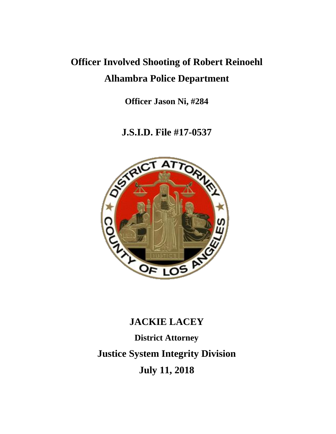## **Officer Involved Shooting of Robert Reinoehl Alhambra Police Department**

**Officer Jason Ni, #284**

### **J.S.I.D. File #17-0537**



# **JACKIE LACEY District Attorney Justice System Integrity Division July 11, 2018**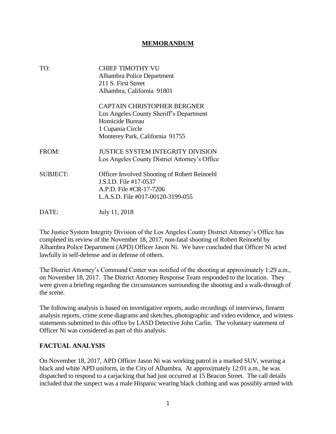#### **MEMORANDUM**

| TO:             | <b>CHIEF TIMOTHY VU</b><br>Alhambra Police Department<br>211 S. First Street              |
|-----------------|-------------------------------------------------------------------------------------------|
|                 | Alhambra, California 91801                                                                |
|                 | <b>CAPTAIN CHRISTOPHER BERGNER</b><br>Los Angeles County Sheriff's Department             |
|                 | Homicide Bureau                                                                           |
|                 | 1 Cupania Circle                                                                          |
|                 | Monterey Park, California 91755                                                           |
| FROM:           | <b>JUSTICE SYSTEM INTEGRITY DIVISION</b><br>Los Angeles County District Attorney's Office |
| <b>SUBJECT:</b> | <b>Officer Involved Shooting of Robert Reinoehl</b>                                       |
|                 | J.S.I.D. File #17-0537                                                                    |
|                 | A.P.D. File #CR-17-7206                                                                   |
|                 | L.A.S.D. File #017-00120-3199-055                                                         |
| DATE:           | July 11, 2018                                                                             |

The Justice System Integrity Division of the Los Angeles County District Attorney's Office has completed its review of the November 18, 2017, non-fatal shooting of Robert Reinoehl by Alhambra Police Department (APD) Officer Jason Ni. We have concluded that Officer Ni acted lawfully in self-defense and in defense of others.

The District Attorney's Command Center was notified of the shooting at approximately 1:29 a.m., on November 18, 2017. The District Attorney Response Team responded to the location. They were given a briefing regarding the circumstances surrounding the shooting and a walk-through of the scene.

The following analysis is based on investigative reports, audio recordings of interviews, firearm analysis reports, crime scene diagrams and sketches, photographic and video evidence, and witness statements submitted to this office by LASD Detective John Carlin. The voluntary statement of Officer Ni was considered as part of this analysis.

#### **FACTUAL ANALYSIS**

On November 18, 2017, APD Officer Jason Ni was working patrol in a marked SUV, wearing a black and white APD uniform, in the City of Alhambra. At approximately 12:01 a.m., he was dispatched to respond to a carjacking that had just occurred at 15 Beacon Street. The call details included that the suspect was a male Hispanic wearing black clothing and was possibly armed with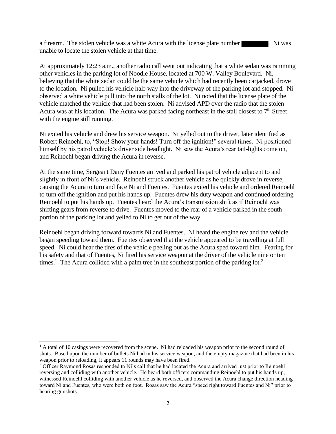a firearm. The stolen vehicle was a white Acura with the license plate number  $\blacksquare$ . Ni was unable to locate the stolen vehicle at that time.

At approximately 12:23 a.m., another radio call went out indicating that a white sedan was ramming other vehicles in the parking lot of Noodle House, located at 700 W. Valley Boulevard. Ni, believing that the white sedan could be the same vehicle which had recently been carjacked, drove to the location. Ni pulled his vehicle half-way into the driveway of the parking lot and stopped. Ni observed a white vehicle pull into the north stalls of the lot. Ni noted that the license plate of the vehicle matched the vehicle that had been stolen. Ni advised APD over the radio that the stolen Acura was at his location. The Acura was parked facing northeast in the stall closest to  $7<sup>th</sup>$  Street with the engine still running.

Ni exited his vehicle and drew his service weapon. Ni yelled out to the driver, later identified as Robert Reinoehl, to, "Stop! Show your hands! Turn off the ignition!" several times. Ni positioned himself by his patrol vehicle's driver side headlight. Ni saw the Acura's rear tail-lights come on, and Reinoehl began driving the Acura in reverse.

At the same time, Sergeant Dany Fuentes arrived and parked his patrol vehicle adjacent to and slightly in front of Ni's vehicle. Reinoehl struck another vehicle as he quickly drove in reverse, causing the Acura to turn and face Ni and Fuentes. Fuentes exited his vehicle and ordered Reinoehl to turn off the ignition and put his hands up. Fuentes drew his duty weapon and continued ordering Reinoehl to put his hands up. Fuentes heard the Acura's transmission shift as if Reinoehl was shifting gears from reverse to drive. Fuentes moved to the rear of a vehicle parked in the south portion of the parking lot and yelled to Ni to get out of the way.

Reinoehl began driving forward towards Ni and Fuentes. Ni heard the engine rev and the vehicle began speeding toward them. Fuentes observed that the vehicle appeared to be travelling at full speed. Ni could hear the tires of the vehicle peeling out as the Acura sped toward him. Fearing for his safety and that of Fuentes, Ni fired his service weapon at the driver of the vehicle nine or ten times.<sup>1</sup> The Acura collided with a palm tree in the southeast portion of the parking lot.<sup>2</sup>

 $1$  A total of 10 casings were recovered from the scene. Ni had reloaded his weapon prior to the second round of shots. Based upon the number of bullets Ni had in his service weapon, and the empty magazine that had been in his weapon prior to reloading, it appears 11 rounds may have been fired.

<sup>&</sup>lt;sup>2</sup> Officer Raymond Rosas responded to Ni's call that he had located the Acura and arrived just prior to Reinoehl reversing and colliding with another vehicle. He heard both officers commanding Reinoehl to put his hands up, witnessed Reinoehl colliding with another vehicle as he reversed, and observed the Acura change direction heading toward Ni and Fuentes, who were both on foot. Rosas saw the Acura "speed right toward Fuentes and Ni" prior to hearing gunshots.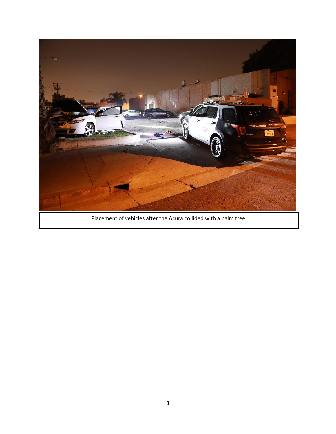

Placement of vehicles after the Acura collided with a palm tree.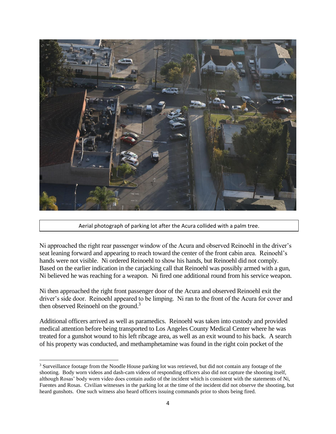

Aerial photograph of parking lot after the Acura collided with a palm tree.

Ni approached the right rear passenger window of the Acura and observed Reinoehl in the driver's seat leaning forward and appearing to reach toward the center of the front cabin area. Reinoehl's hands were not visible. Ni ordered Reinoehl to show his hands, but Reinoehl did not comply. Based on the earlier indication in the carjacking call that Reinoehl was possibly armed with a gun, Ni believed he was reaching for a weapon. Ni fired one additional round from his service weapon.

Ni then approached the right front passenger door of the Acura and observed Reinoehl exit the driver's side door. Reinoehl appeared to be limping. Ni ran to the front of the Acura for cover and then observed Reinoehl on the ground.<sup>3</sup>

Additional officers arrived as well as paramedics. Reinoehl was taken into custody and provided medical attention before being transported to Los Angeles County Medical Center where he was treated for a gunshot wound to his left ribcage area, as well as an exit wound to his back. A search of his property was conducted, and methamphetamine was found in the right coin pocket of the

 $\overline{a}$ <sup>3</sup> Surveillance footage from the Noodle House parking lot was retrieved, but did not contain any footage of the shooting. Body worn videos and dash-cam videos of responding officers also did not capture the shooting itself, although Rosas' body worn video does contain audio of the incident which is consistent with the statements of Ni, Fuentes and Rosas. Civilian witnesses in the parking lot at the time of the incident did not observe the shooting, but heard gunshots. One such witness also heard officers issuing commands prior to shots being fired.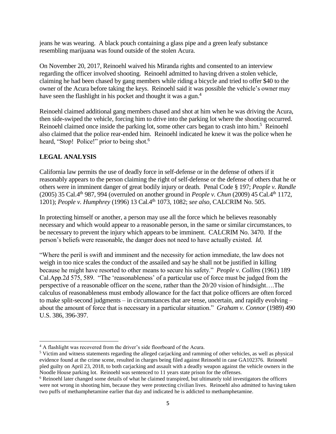jeans he was wearing. A black pouch containing a glass pipe and a green leafy substance resembling marijuana was found outside of the stolen Acura.

On November 20, 2017, Reinoehl waived his Miranda rights and consented to an interview regarding the officer involved shooting. Reinoehl admitted to having driven a stolen vehicle, claiming he had been chased by gang members while riding a bicycle and tried to offer \$40 to the owner of the Acura before taking the keys. Reinoehl said it was possible the vehicle's owner may have seen the flashlight in his pocket and thought it was a gun.<sup>4</sup>

Reinoehl claimed additional gang members chased and shot at him when he was driving the Acura, then side-swiped the vehicle, forcing him to drive into the parking lot where the shooting occurred. Reinoehl claimed once inside the parking lot, some other cars began to crash into him.<sup>5</sup> Reinoehl also claimed that the police rear-ended him. Reinoehl indicated he knew it was the police when he heard, "Stop! Police!" prior to being shot.<sup>6</sup>

#### **LEGAL ANALYSIS**

California law permits the use of deadly force in self-defense or in the defense of others if it reasonably appears to the person claiming the right of self-defense or the defense of others that he or others were in imminent danger of great bodily injury or death. Penal Code § 197; *People v. Randle* (2005) 35 Cal.4th 987, 994 (overruled on another ground in *People v. Chun* (2009) 45 Cal.4th 1172, 1201); *People v. Humphrey* (1996) 13 Cal.4th 1073, 1082; *see also,* CALCRIM No. 505.

In protecting himself or another, a person may use all the force which he believes reasonably necessary and which would appear to a reasonable person, in the same or similar circumstances, to be necessary to prevent the injury which appears to be imminent. CALCRIM No. 3470. If the person's beliefs were reasonable, the danger does not need to have actually existed. *Id.*

"Where the peril is swift and imminent and the necessity for action immediate, the law does not weigh in too nice scales the conduct of the assailed and say he shall not be justified in killing because he might have resorted to other means to secure his safety." *People v. Collins* (1961) 189 Cal.App.2d 575, 589. "The 'reasonableness' of a particular use of force must be judged from the perspective of a reasonable officer on the scene, rather than the 20/20 vision of hindsight….The calculus of reasonableness must embody allowance for the fact that police officers are often forced to make split-second judgments – in circumstances that are tense, uncertain, and rapidly evolving – about the amount of force that is necessary in a particular situation." *Graham v. Connor* (1989) 490 U.S. 386, 396-397.

 $\overline{a}$ <sup>4</sup> A flashlight was recovered from the driver's side floorboard of the Acura.

<sup>5</sup> Victim and witness statements regarding the alleged carjacking and ramming of other vehicles, as well as physical evidence found at the crime scene, resulted in charges being filed against Reinoehl in case GA102376. Reinoehl pled guilty on April 23, 2018, to both carjacking and assault with a deadly weapon against the vehicle owners in the Noodle House parking lot. Reinoehl was sentenced to 11 years state prison for the offenses.

<sup>6</sup> Reinoehl later changed some details of what he claimed transpired, but ultimately told investigators the officers were not wrong in shooting him, because they were protecting civilian lives. Reinoehl also admitted to having taken two puffs of methamphetamine earlier that day and indicated he is addicted to methamphetamine.